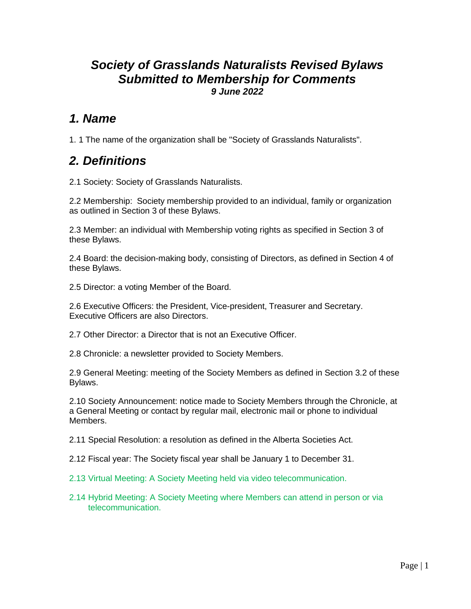### *Society of Grasslands Naturalists Revised Bylaws Submitted to Membership for Comments 9 June 2022*

### *1. Name*

1. 1 The name of the organization shall be "Society of Grasslands Naturalists".

## *2. Definitions*

2.1 Society: Society of Grasslands Naturalists.

2.2 Membership: Society membership provided to an individual, family or organization as outlined in Section 3 of these Bylaws.

2.3 Member: an individual with Membership voting rights as specified in Section 3 of these Bylaws.

2.4 Board: the decision-making body, consisting of Directors, as defined in Section 4 of these Bylaws.

2.5 Director: a voting Member of the Board.

2.6 Executive Officers: the President, Vice-president, Treasurer and Secretary. Executive Officers are also Directors.

2.7 Other Director: a Director that is not an Executive Officer.

2.8 Chronicle: a newsletter provided to Society Members.

2.9 General Meeting: meeting of the Society Members as defined in Section 3.2 of these Bylaws.

2.10 Society Announcement: notice made to Society Members through the Chronicle, at a General Meeting or contact by regular mail, electronic mail or phone to individual Members.

2.11 Special Resolution: a resolution as defined in the Alberta Societies Act.

2.12 Fiscal year: The Society fiscal year shall be January 1 to December 31.

2.13 Virtual Meeting: A Society Meeting held via video telecommunication.

2.14 Hybrid Meeting: A Society Meeting where Members can attend in person or via telecommunication.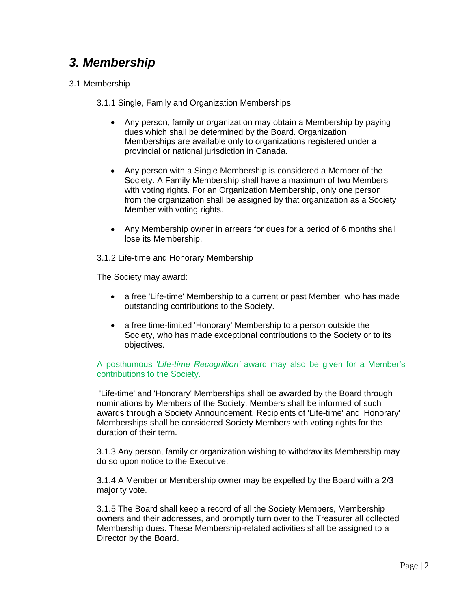# *3. Membership*

#### 3.1 Membership

3.1.1 Single, Family and Organization Memberships

- Any person, family or organization may obtain a Membership by paying dues which shall be determined by the Board. Organization Memberships are available only to organizations registered under a provincial or national jurisdiction in Canada.
- Any person with a Single Membership is considered a Member of the Society. A Family Membership shall have a maximum of two Members with voting rights. For an Organization Membership, only one person from the organization shall be assigned by that organization as a Society Member with voting rights.
- Any Membership owner in arrears for dues for a period of 6 months shall lose its Membership.

3.1.2 Life-time and Honorary Membership

The Society may award:

- a free 'Life-time' Membership to a current or past Member, who has made outstanding contributions to the Society.
- a free time-limited 'Honorary' Membership to a person outside the Society, who has made exceptional contributions to the Society or to its objectives.

#### A posthumous *'Life-time Recognition'* award may also be given for a Member's contributions to the Society.

'Life-time' and 'Honorary' Memberships shall be awarded by the Board through nominations by Members of the Society. Members shall be informed of such awards through a Society Announcement. Recipients of 'Life-time' and 'Honorary' Memberships shall be considered Society Members with voting rights for the duration of their term.

3.1.3 Any person, family or organization wishing to withdraw its Membership may do so upon notice to the Executive.

3.1.4 A Member or Membership owner may be expelled by the Board with a 2/3 majority vote.

3.1.5 The Board shall keep a record of all the Society Members, Membership owners and their addresses, and promptly turn over to the Treasurer all collected Membership dues. These Membership-related activities shall be assigned to a Director by the Board.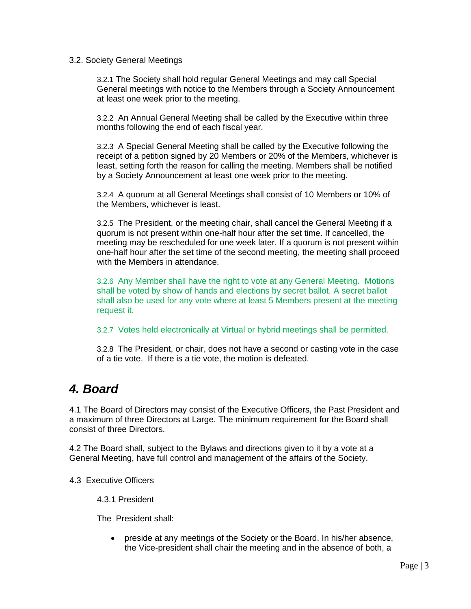#### 3.2. Society General Meetings

3.2.1 The Society shall hold regular General Meetings and may call Special General meetings with notice to the Members through a Society Announcement at least one week prior to the meeting.

3.2.2 An Annual General Meeting shall be called by the Executive within three months following the end of each fiscal year.

3.2.3 A Special General Meeting shall be called by the Executive following the receipt of a petition signed by 20 Members or 20% of the Members, whichever is least, setting forth the reason for calling the meeting. Members shall be notified by a Society Announcement at least one week prior to the meeting.

3.2.4 A quorum at all General Meetings shall consist of 10 Members or 10% of the Members, whichever is least.

3.2.5 The President, or the meeting chair, shall cancel the General Meeting if a quorum is not present within one-half hour after the set time. If cancelled, the meeting may be rescheduled for one week later. If a quorum is not present within one-half hour after the set time of the second meeting, the meeting shall proceed with the Members in attendance.

3.2.6 Any Member shall have the right to vote at any General Meeting. Motions shall be voted by show of hands and elections by secret ballot. A secret ballot shall also be used for any vote where at least 5 Members present at the meeting request it.

#### 3.2.7 Votes held electronically at Virtual or hybrid meetings shall be permitted.

3.2.8 The President, or chair, does not have a second or casting vote in the case of a tie vote. If there is a tie vote, the motion is defeated.

### *4. Board*

4.1 The Board of Directors may consist of the Executive Officers, the Past President and a maximum of three Directors at Large. The minimum requirement for the Board shall consist of three Directors.

4.2 The Board shall, subject to the Bylaws and directions given to it by a vote at a General Meeting, have full control and management of the affairs of the Society.

4.3 Executive Officers

4.3.1 President

The President shall:

• preside at any meetings of the Society or the Board. In his/her absence, the Vice-president shall chair the meeting and in the absence of both, a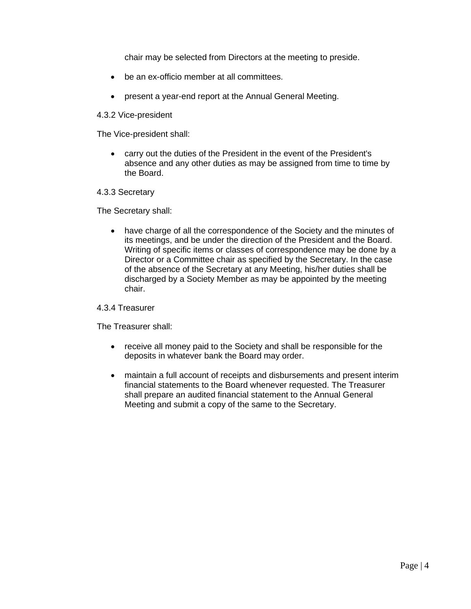chair may be selected from Directors at the meeting to preside.

- be an ex-officio member at all committees.
- present a year-end report at the Annual General Meeting.

#### 4.3.2 Vice-president

The Vice-president shall:

• carry out the duties of the President in the event of the President's absence and any other duties as may be assigned from time to time by the Board.

#### 4.3.3 Secretary

The Secretary shall:

• have charge of all the correspondence of the Society and the minutes of its meetings, and be under the direction of the President and the Board. Writing of specific items or classes of correspondence may be done by a Director or a Committee chair as specified by the Secretary. In the case of the absence of the Secretary at any Meeting, his/her duties shall be discharged by a Society Member as may be appointed by the meeting chair.

#### 4.3.4 Treasurer

The Treasurer shall:

- receive all money paid to the Society and shall be responsible for the deposits in whatever bank the Board may order.
- maintain a full account of receipts and disbursements and present interim financial statements to the Board whenever requested. The Treasurer shall prepare an audited financial statement to the Annual General Meeting and submit a copy of the same to the Secretary.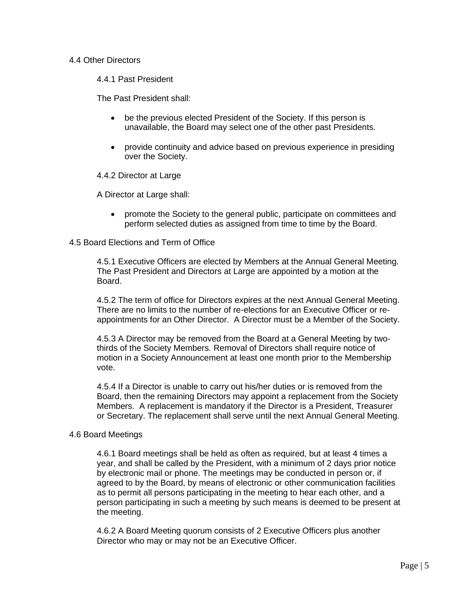#### 4.4 Other Directors

4.4.1 Past President

The Past President shall:

- be the previous elected President of the Society. If this person is unavailable, the Board may select one of the other past Presidents.
- provide continuity and advice based on previous experience in presiding over the Society.

4.4.2 Director at Large

A Director at Large shall:

• promote the Society to the general public, participate on committees and perform selected duties as assigned from time to time by the Board.

#### 4.5 Board Elections and Term of Office

4.5.1 Executive Officers are elected by Members at the Annual General Meeting. The Past President and Directors at Large are appointed by a motion at the Board.

4.5.2 The term of office for Directors expires at the next Annual General Meeting. There are no limits to the number of re-elections for an Executive Officer or reappointments for an Other Director. A Director must be a Member of the Society.

4.5.3 A Director may be removed from the Board at a General Meeting by twothirds of the Society Members. Removal of Directors shall require notice of motion in a Society Announcement at least one month prior to the Membership vote.

4.5.4 If a Director is unable to carry out his/her duties or is removed from the Board, then the remaining Directors may appoint a replacement from the Society Members. A replacement is mandatory if the Director is a President, Treasurer or Secretary. The replacement shall serve until the next Annual General Meeting.

#### 4.6 Board Meetings

4.6.1 Board meetings shall be held as often as required, but at least 4 times a year, and shall be called by the President, with a minimum of 2 days prior notice by electronic mail or phone. The meetings may be conducted in person or, if agreed to by the Board, by means of electronic or other communication facilities as to permit all persons participating in the meeting to hear each other, and a person participating in such a meeting by such means is deemed to be present at the meeting.

4.6.2 A Board Meeting quorum consists of 2 Executive Officers plus another Director who may or may not be an Executive Officer.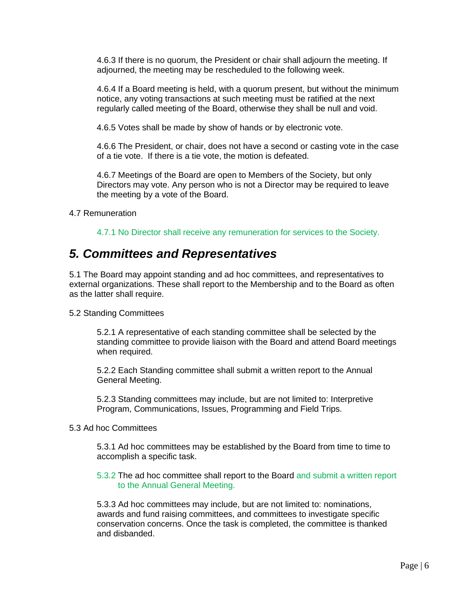4.6.3 If there is no quorum, the President or chair shall adjourn the meeting. If adjourned, the meeting may be rescheduled to the following week.

4.6.4 If a Board meeting is held, with a quorum present, but without the minimum notice, any voting transactions at such meeting must be ratified at the next regularly called meeting of the Board, otherwise they shall be null and void.

4.6.5 Votes shall be made by show of hands or by electronic vote.

4.6.6 The President, or chair, does not have a second or casting vote in the case of a tie vote. If there is a tie vote, the motion is defeated.

4.6.7 Meetings of the Board are open to Members of the Society, but only Directors may vote. Any person who is not a Director may be required to leave the meeting by a vote of the Board.

4.7 Remuneration

4.7.1 No Director shall receive any remuneration for services to the Society.

### *5. Committees and Representatives*

5.1 The Board may appoint standing and ad hoc committees, and representatives to external organizations. These shall report to the Membership and to the Board as often as the latter shall require.

#### 5.2 Standing Committees

5.2.1 A representative of each standing committee shall be selected by the standing committee to provide liaison with the Board and attend Board meetings when required.

5.2.2 Each Standing committee shall submit a written report to the Annual General Meeting.

5.2.3 Standing committees may include, but are not limited to: Interpretive Program, Communications, Issues, Programming and Field Trips.

#### 5.3 Ad hoc Committees

5.3.1 Ad hoc committees may be established by the Board from time to time to accomplish a specific task.

5.3.2 The ad hoc committee shall report to the Board and submit a written report to the Annual General Meeting.

5.3.3 Ad hoc committees may include, but are not limited to: nominations, awards and fund raising committees, and committees to investigate specific conservation concerns. Once the task is completed, the committee is thanked and disbanded.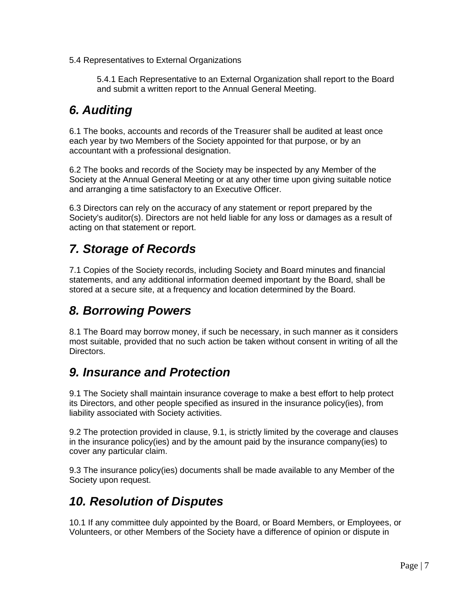5.4 Representatives to External Organizations

5.4.1 Each Representative to an External Organization shall report to the Board and submit a written report to the Annual General Meeting.

# *6. Auditing*

6.1 The books, accounts and records of the Treasurer shall be audited at least once each year by two Members of the Society appointed for that purpose, or by an accountant with a professional designation.

6.2 The books and records of the Society may be inspected by any Member of the Society at the Annual General Meeting or at any other time upon giving suitable notice and arranging a time satisfactory to an Executive Officer.

6.3 Directors can rely on the accuracy of any statement or report prepared by the Society's auditor(s). Directors are not held liable for any loss or damages as a result of acting on that statement or report.

## *7. Storage of Records*

7.1 Copies of the Society records, including Society and Board minutes and financial statements, and any additional information deemed important by the Board, shall be stored at a secure site, at a frequency and location determined by the Board.

## *8. Borrowing Powers*

8.1 The Board may borrow money, if such be necessary, in such manner as it considers most suitable, provided that no such action be taken without consent in writing of all the Directors.

## *9. Insurance and Protection*

9.1 The Society shall maintain insurance coverage to make a best effort to help protect its Directors, and other people specified as insured in the insurance policy(ies), from liability associated with Society activities.

9.2 The protection provided in clause, 9.1, is strictly limited by the coverage and clauses in the insurance policy(ies) and by the amount paid by the insurance company(ies) to cover any particular claim.

9.3 The insurance policy(ies) documents shall be made available to any Member of the Society upon request.

## *10. Resolution of Disputes*

10.1 If any committee duly appointed by the Board, or Board Members, or Employees, or Volunteers, or other Members of the Society have a difference of opinion or dispute in